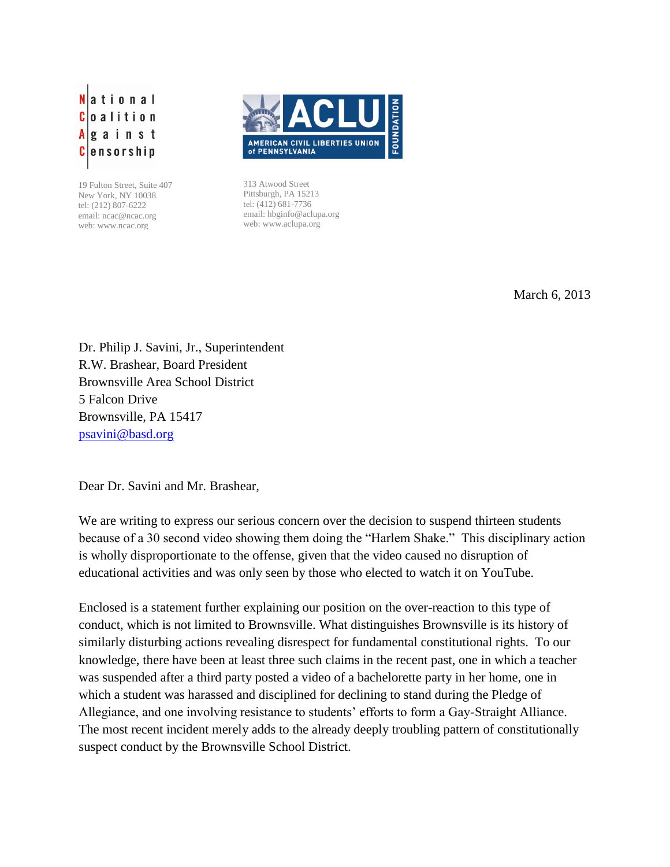ational lo a lition gainst C ensorship

19 Fulton Street, Suite 407 New York, NY 10038 tel: (212) 807-6222 email: ncac@ncac.org web: www.ncac.org



313 Atwood Street Pittsburgh, PA 15213 tel: (412) 681-7736 email: hbginfo@aclupa.org web: www.aclupa.org

March 6, 2013

Dr. Philip J. Savini, Jr., Superintendent R.W. Brashear, Board President Brownsville Area School District 5 Falcon Drive Brownsville, PA 15417 [psavini@basd.org](mailto:psavini@basd.org)

Dear Dr. Savini and Mr. Brashear,

We are writing to express our serious concern over the decision to suspend thirteen students because of a 30 second video showing them doing the "Harlem Shake." This disciplinary action is wholly disproportionate to the offense, given that the video caused no disruption of educational activities and was only seen by those who elected to watch it on YouTube.

Enclosed is a statement further explaining our position on the over-reaction to this type of conduct, which is not limited to Brownsville. What distinguishes Brownsville is its history of similarly disturbing actions revealing disrespect for fundamental constitutional rights. To our knowledge, there have been at least three such claims in the recent past, one in which a teacher was suspended after a third party posted a video of a bachelorette party in her home, one in which a student was harassed and disciplined for declining to stand during the Pledge of Allegiance, and one involving resistance to students' efforts to form a Gay-Straight Alliance. The most recent incident merely adds to the already deeply troubling pattern of constitutionally suspect conduct by the Brownsville School District.